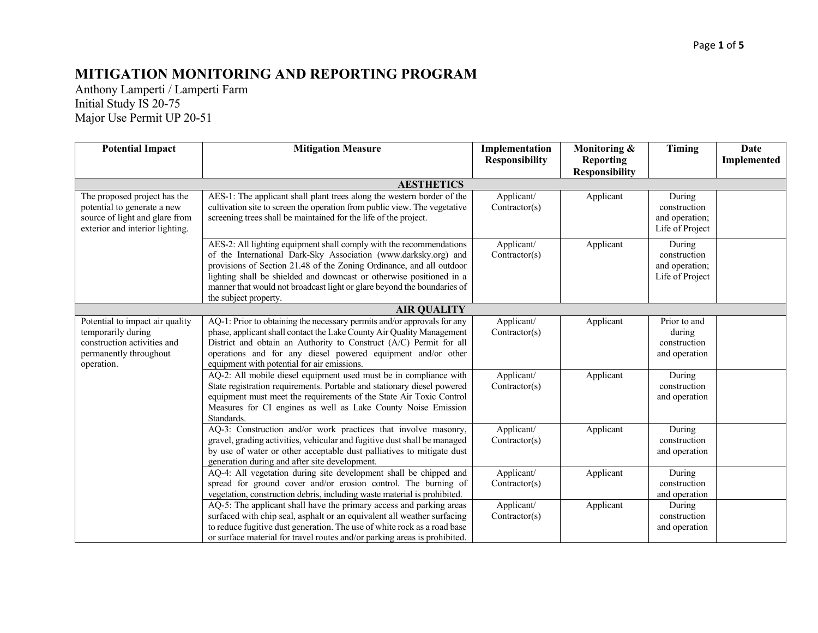## **MITIGATION MONITORING AND REPORTING PROGRAM**

Anthony Lamperti / Lamperti Farm Initial Study IS 20-75 Major Use Permit UP 20-51

| <b>Potential Impact</b>                                                                                                          | <b>Mitigation Measure</b>                                                                                                                                                                                                                                                                                                                                                                  | Implementation<br><b>Responsibility</b> | Monitoring &<br><b>Reporting</b><br><b>Responsibility</b> | Timing                                                      | Date<br>Implemented |
|----------------------------------------------------------------------------------------------------------------------------------|--------------------------------------------------------------------------------------------------------------------------------------------------------------------------------------------------------------------------------------------------------------------------------------------------------------------------------------------------------------------------------------------|-----------------------------------------|-----------------------------------------------------------|-------------------------------------------------------------|---------------------|
|                                                                                                                                  | <b>AESTHETICS</b>                                                                                                                                                                                                                                                                                                                                                                          |                                         |                                                           |                                                             |                     |
| The proposed project has the<br>potential to generate a new<br>source of light and glare from<br>exterior and interior lighting. | AES-1: The applicant shall plant trees along the western border of the<br>cultivation site to screen the operation from public view. The vegetative<br>screening trees shall be maintained for the life of the project.                                                                                                                                                                    | Applicant/<br>Contractor(s)             | Applicant                                                 | During<br>construction<br>and operation;<br>Life of Project |                     |
|                                                                                                                                  | AES-2: All lighting equipment shall comply with the recommendations<br>of the International Dark-Sky Association (www.darksky.org) and<br>provisions of Section 21.48 of the Zoning Ordinance, and all outdoor<br>lighting shall be shielded and downcast or otherwise positioned in a<br>manner that would not broadcast light or glare beyond the boundaries of<br>the subject property. | Applicant/<br>Contractor(s)             | Applicant                                                 | During<br>construction<br>and operation;<br>Life of Project |                     |
|                                                                                                                                  | <b>AIR QUALITY</b>                                                                                                                                                                                                                                                                                                                                                                         |                                         |                                                           |                                                             |                     |
| Potential to impact air quality<br>temporarily during<br>construction activities and<br>permanently throughout<br>operation.     | AQ-1: Prior to obtaining the necessary permits and/or approvals for any<br>phase, applicant shall contact the Lake County Air Quality Management<br>District and obtain an Authority to Construct (A/C) Permit for all<br>operations and for any diesel powered equipment and/or other<br>equipment with potential for air emissions.                                                      | Applicant/<br>Contractor(s)             | Applicant                                                 | Prior to and<br>during<br>construction<br>and operation     |                     |
|                                                                                                                                  | AQ-2: All mobile diesel equipment used must be in compliance with<br>State registration requirements. Portable and stationary diesel powered<br>equipment must meet the requirements of the State Air Toxic Control<br>Measures for CI engines as well as Lake County Noise Emission<br>Standards.                                                                                         | Applicant/<br>Contractor(s)             | Applicant                                                 | During<br>construction<br>and operation                     |                     |
|                                                                                                                                  | AQ-3: Construction and/or work practices that involve masonry,<br>gravel, grading activities, vehicular and fugitive dust shall be managed<br>by use of water or other acceptable dust palliatives to mitigate dust<br>generation during and after site development.                                                                                                                       | Applicant/<br>Contractor(s)             | Applicant                                                 | During<br>construction<br>and operation                     |                     |
|                                                                                                                                  | AQ-4: All vegetation during site development shall be chipped and<br>spread for ground cover and/or erosion control. The burning of<br>vegetation, construction debris, including waste material is prohibited.                                                                                                                                                                            | Applicant/<br>Contractor(s)             | Applicant                                                 | During<br>construction<br>and operation                     |                     |
|                                                                                                                                  | AQ-5: The applicant shall have the primary access and parking areas<br>surfaced with chip seal, asphalt or an equivalent all weather surfacing<br>to reduce fugitive dust generation. The use of white rock as a road base<br>or surface material for travel routes and/or parking areas is prohibited.                                                                                    | Applicant/<br>Contractor(s)             | Applicant                                                 | During<br>construction<br>and operation                     |                     |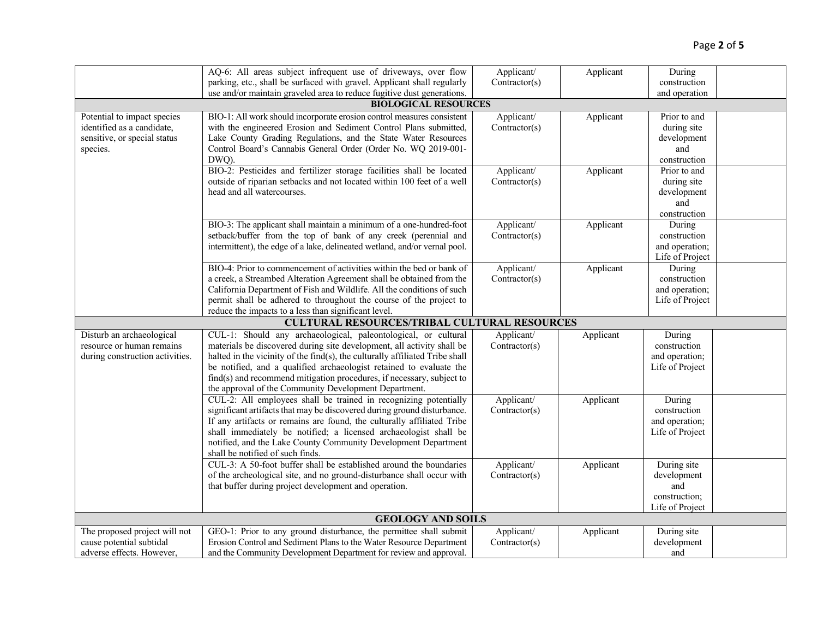|                                                       | AQ-6: All areas subject infrequent use of driveways, over flow                                                                           | Applicant/    | Applicant | During             |  |
|-------------------------------------------------------|------------------------------------------------------------------------------------------------------------------------------------------|---------------|-----------|--------------------|--|
|                                                       | parking, etc., shall be surfaced with gravel. Applicant shall regularly                                                                  | Contractor(s) |           | construction       |  |
|                                                       | use and/or maintain graveled area to reduce fugitive dust generations.                                                                   |               |           | and operation      |  |
|                                                       | <b>BIOLOGICAL RESOURCES</b>                                                                                                              |               |           |                    |  |
| Potential to impact species                           | BIO-1: All work should incorporate erosion control measures consistent                                                                   | Applicant/    | Applicant | Prior to and       |  |
| identified as a candidate,                            | with the engineered Erosion and Sediment Control Plans submitted,                                                                        | Contractor(s) |           | during site        |  |
| sensitive, or special status                          | Lake County Grading Regulations, and the State Water Resources                                                                           |               |           | development        |  |
| species.                                              | Control Board's Cannabis General Order (Order No. WQ 2019-001-                                                                           |               |           | and                |  |
|                                                       | DWQ).                                                                                                                                    |               |           | construction       |  |
|                                                       | BIO-2: Pesticides and fertilizer storage facilities shall be located                                                                     | Applicant/    | Applicant | Prior to and       |  |
|                                                       | outside of riparian setbacks and not located within 100 feet of a well                                                                   | Contractor(s) |           | during site        |  |
|                                                       | head and all watercourses.                                                                                                               |               |           | development        |  |
|                                                       |                                                                                                                                          |               |           | and                |  |
|                                                       |                                                                                                                                          |               |           | construction       |  |
|                                                       | BIO-3: The applicant shall maintain a minimum of a one-hundred-foot                                                                      | Applicant/    | Applicant | During             |  |
|                                                       | setback/buffer from the top of bank of any creek (perennial and                                                                          | Contractor(s) |           | construction       |  |
|                                                       | intermittent), the edge of a lake, delineated wetland, and/or vernal pool.                                                               |               |           | and operation;     |  |
|                                                       |                                                                                                                                          |               |           | Life of Project    |  |
|                                                       | BIO-4: Prior to commencement of activities within the bed or bank of                                                                     | Applicant/    | Applicant | During             |  |
|                                                       | a creek, a Streambed Alteration Agreement shall be obtained from the                                                                     | Contractor(s) |           | construction       |  |
|                                                       | California Department of Fish and Wildlife. All the conditions of such                                                                   |               |           | and operation;     |  |
|                                                       | permit shall be adhered to throughout the course of the project to                                                                       |               |           | Life of Project    |  |
|                                                       | reduce the impacts to a less than significant level.                                                                                     |               |           |                    |  |
|                                                       | <b>CULTURAL RESOURCES/TRIBAL CULTURAL RESOURCES</b>                                                                                      |               |           |                    |  |
| Disturb an archaeological                             | CUL-1: Should any archaeological, paleontological, or cultural                                                                           | Applicant/    | Applicant | During             |  |
| resource or human remains                             | materials be discovered during site development, all activity shall be                                                                   | Contractor(s) |           | construction       |  |
| during construction activities.                       | halted in the vicinity of the find(s), the culturally affiliated Tribe shall                                                             |               |           | and operation;     |  |
|                                                       | be notified, and a qualified archaeologist retained to evaluate the                                                                      |               |           | Life of Project    |  |
|                                                       | find(s) and recommend mitigation procedures, if necessary, subject to                                                                    |               |           |                    |  |
|                                                       | the approval of the Community Development Department.                                                                                    |               |           |                    |  |
|                                                       | CUL-2: All employees shall be trained in recognizing potentially                                                                         | Applicant/    | Applicant | During             |  |
|                                                       | significant artifacts that may be discovered during ground disturbance.                                                                  | Contractor(s) |           | construction       |  |
|                                                       | If any artifacts or remains are found, the culturally affiliated Tribe                                                                   |               |           | and operation;     |  |
|                                                       | shall immediately be notified; a licensed archaeologist shall be                                                                         |               |           | Life of Project    |  |
|                                                       | notified, and the Lake County Community Development Department                                                                           |               |           |                    |  |
|                                                       | shall be notified of such finds.                                                                                                         |               |           |                    |  |
|                                                       | CUL-3: A 50-foot buffer shall be established around the boundaries                                                                       | Applicant/    | Applicant | During site        |  |
|                                                       | of the archeological site, and no ground-disturbance shall occur with                                                                    | Contractor(s) |           | development        |  |
|                                                       | that buffer during project development and operation.                                                                                    |               |           | and                |  |
|                                                       |                                                                                                                                          |               |           | construction;      |  |
|                                                       |                                                                                                                                          |               |           | Life of Project    |  |
|                                                       | <b>GEOLOGY AND SOILS</b>                                                                                                                 |               |           |                    |  |
|                                                       |                                                                                                                                          |               |           |                    |  |
|                                                       |                                                                                                                                          |               |           |                    |  |
| The proposed project will not                         | GEO-1: Prior to any ground disturbance, the permittee shall submit                                                                       | Applicant/    | Applicant | During site        |  |
| cause potential subtidal<br>adverse effects. However, | Erosion Control and Sediment Plans to the Water Resource Department<br>and the Community Development Department for review and approval. | Contractor(s) |           | development<br>and |  |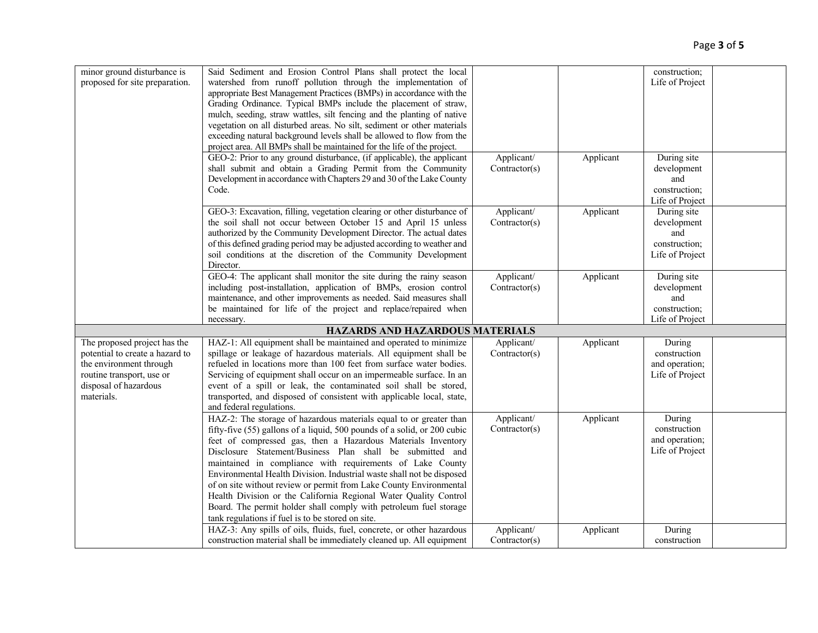| minor ground disturbance is<br>proposed for site preparation.                                                                                                  | Said Sediment and Erosion Control Plans shall protect the local<br>watershed from runoff pollution through the implementation of<br>appropriate Best Management Practices (BMPs) in accordance with the<br>Grading Ordinance. Typical BMPs include the placement of straw,<br>mulch, seeding, straw wattles, silt fencing and the planting of native<br>vegetation on all disturbed areas. No silt, sediment or other materials<br>exceeding natural background levels shall be allowed to flow from the<br>project area. All BMPs shall be maintained for the life of the project.                                                                                                   |                             |           | construction;<br>Life of Project                                      |  |
|----------------------------------------------------------------------------------------------------------------------------------------------------------------|---------------------------------------------------------------------------------------------------------------------------------------------------------------------------------------------------------------------------------------------------------------------------------------------------------------------------------------------------------------------------------------------------------------------------------------------------------------------------------------------------------------------------------------------------------------------------------------------------------------------------------------------------------------------------------------|-----------------------------|-----------|-----------------------------------------------------------------------|--|
|                                                                                                                                                                | GEO-2: Prior to any ground disturbance, (if applicable), the applicant<br>shall submit and obtain a Grading Permit from the Community<br>Development in accordance with Chapters 29 and 30 of the Lake County<br>Code.                                                                                                                                                                                                                                                                                                                                                                                                                                                                | Applicant/<br>Contractor(s) | Applicant | During site<br>development<br>and<br>construction;<br>Life of Project |  |
|                                                                                                                                                                | GEO-3: Excavation, filling, vegetation clearing or other disturbance of<br>the soil shall not occur between October 15 and April 15 unless<br>authorized by the Community Development Director. The actual dates<br>of this defined grading period may be adjusted according to weather and<br>soil conditions at the discretion of the Community Development<br>Director.                                                                                                                                                                                                                                                                                                            | Applicant/<br>Contractor(s) | Applicant | During site<br>development<br>and<br>construction;<br>Life of Project |  |
|                                                                                                                                                                | GEO-4: The applicant shall monitor the site during the rainy season<br>including post-installation, application of BMPs, erosion control<br>maintenance, and other improvements as needed. Said measures shall<br>be maintained for life of the project and replace/repaired when<br>necessary.                                                                                                                                                                                                                                                                                                                                                                                       | Applicant/<br>Contractor(s) | Applicant | During site<br>development<br>and<br>construction;<br>Life of Project |  |
|                                                                                                                                                                | <b>HAZARDS AND HAZARDOUS MATERIALS</b>                                                                                                                                                                                                                                                                                                                                                                                                                                                                                                                                                                                                                                                |                             |           |                                                                       |  |
| The proposed project has the<br>potential to create a hazard to<br>the environment through<br>routine transport, use or<br>disposal of hazardous<br>materials. | HAZ-1: All equipment shall be maintained and operated to minimize<br>spillage or leakage of hazardous materials. All equipment shall be<br>refueled in locations more than 100 feet from surface water bodies.<br>Servicing of equipment shall occur on an impermeable surface. In an<br>event of a spill or leak, the contaminated soil shall be stored,<br>transported, and disposed of consistent with applicable local, state,<br>and federal regulations.                                                                                                                                                                                                                        | Applicant/<br>Contractor(s) | Applicant | During<br>construction<br>and operation;<br>Life of Project           |  |
|                                                                                                                                                                | HAZ-2: The storage of hazardous materials equal to or greater than<br>fifty-five (55) gallons of a liquid, 500 pounds of a solid, or 200 cubic<br>feet of compressed gas, then a Hazardous Materials Inventory<br>Disclosure Statement/Business Plan shall be submitted and<br>maintained in compliance with requirements of Lake County<br>Environmental Health Division. Industrial waste shall not be disposed<br>of on site without review or permit from Lake County Environmental<br>Health Division or the California Regional Water Quality Control<br>Board. The permit holder shall comply with petroleum fuel storage<br>tank regulations if fuel is to be stored on site. | Applicant/<br>Contractor(s) | Applicant | During<br>construction<br>and operation;<br>Life of Project           |  |
|                                                                                                                                                                | HAZ-3: Any spills of oils, fluids, fuel, concrete, or other hazardous<br>construction material shall be immediately cleaned up. All equipment                                                                                                                                                                                                                                                                                                                                                                                                                                                                                                                                         | Applicant/<br>Contractor(s) | Applicant | During<br>construction                                                |  |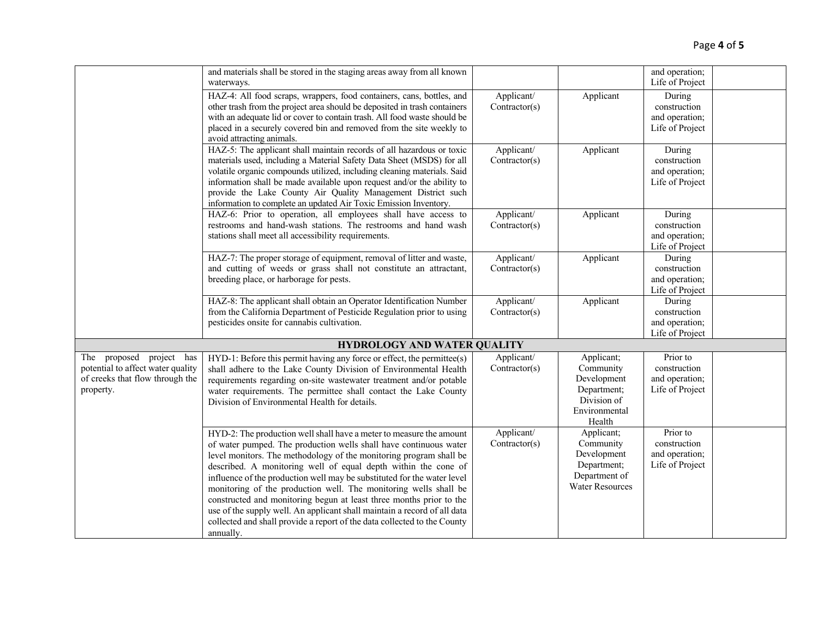|                                                                                                               | and materials shall be stored in the staging areas away from all known<br>waterways.                                                                                                                                                                                                                                                                                                                                                                                                                                                                                                                                                                                        |                             |                                                                                                 | and operation;<br>Life of Project                             |  |
|---------------------------------------------------------------------------------------------------------------|-----------------------------------------------------------------------------------------------------------------------------------------------------------------------------------------------------------------------------------------------------------------------------------------------------------------------------------------------------------------------------------------------------------------------------------------------------------------------------------------------------------------------------------------------------------------------------------------------------------------------------------------------------------------------------|-----------------------------|-------------------------------------------------------------------------------------------------|---------------------------------------------------------------|--|
|                                                                                                               | HAZ-4: All food scraps, wrappers, food containers, cans, bottles, and<br>other trash from the project area should be deposited in trash containers<br>with an adequate lid or cover to contain trash. All food waste should be<br>placed in a securely covered bin and removed from the site weekly to<br>avoid attracting animals.                                                                                                                                                                                                                                                                                                                                         | Applicant/<br>Contractor(s) | Applicant                                                                                       | During<br>construction<br>and operation;<br>Life of Project   |  |
|                                                                                                               | HAZ-5: The applicant shall maintain records of all hazardous or toxic<br>materials used, including a Material Safety Data Sheet (MSDS) for all<br>volatile organic compounds utilized, including cleaning materials. Said<br>information shall be made available upon request and/or the ability to<br>provide the Lake County Air Quality Management District such<br>information to complete an updated Air Toxic Emission Inventory.                                                                                                                                                                                                                                     | Applicant/<br>Contractor(s) | Applicant                                                                                       | During<br>construction<br>and operation;<br>Life of Project   |  |
|                                                                                                               | HAZ-6: Prior to operation, all employees shall have access to<br>restrooms and hand-wash stations. The restrooms and hand wash<br>stations shall meet all accessibility requirements.                                                                                                                                                                                                                                                                                                                                                                                                                                                                                       | Applicant/<br>Contractor(s) | Applicant                                                                                       | During<br>construction<br>and operation;<br>Life of Project   |  |
|                                                                                                               | HAZ-7: The proper storage of equipment, removal of litter and waste,<br>and cutting of weeds or grass shall not constitute an attractant,<br>breeding place, or harborage for pests.                                                                                                                                                                                                                                                                                                                                                                                                                                                                                        | Applicant/<br>Contractor(s) | Applicant                                                                                       | During<br>construction<br>and operation;<br>Life of Project   |  |
|                                                                                                               | HAZ-8: The applicant shall obtain an Operator Identification Number<br>from the California Department of Pesticide Regulation prior to using<br>pesticides onsite for cannabis cultivation.                                                                                                                                                                                                                                                                                                                                                                                                                                                                                 | Applicant/<br>Contractor(s) | Applicant                                                                                       | During<br>construction<br>and operation;<br>Life of Project   |  |
|                                                                                                               | <b>HYDROLOGY AND WATER QUALITY</b>                                                                                                                                                                                                                                                                                                                                                                                                                                                                                                                                                                                                                                          |                             |                                                                                                 |                                                               |  |
| The proposed project has<br>potential to affect water quality<br>of creeks that flow through the<br>property. | HYD-1: Before this permit having any force or effect, the permittee(s)<br>shall adhere to the Lake County Division of Environmental Health<br>requirements regarding on-site wastewater treatment and/or potable<br>water requirements. The permittee shall contact the Lake County<br>Division of Environmental Health for details.                                                                                                                                                                                                                                                                                                                                        | Applicant/<br>Contractor(s) | Applicant;<br>Community<br>Development<br>Department;<br>Division of<br>Environmental<br>Health | Prior to<br>construction<br>and operation;<br>Life of Project |  |
|                                                                                                               | HYD-2: The production well shall have a meter to measure the amount<br>of water pumped. The production wells shall have continuous water<br>level monitors. The methodology of the monitoring program shall be<br>described. A monitoring well of equal depth within the cone of<br>influence of the production well may be substituted for the water level<br>monitoring of the production well. The monitoring wells shall be<br>constructed and monitoring begun at least three months prior to the<br>use of the supply well. An applicant shall maintain a record of all data<br>collected and shall provide a report of the data collected to the County<br>annually. | Applicant/<br>Contractor(s) | Applicant;<br>Community<br>Development<br>Department;<br>Department of<br>Water Resources       | Prior to<br>construction<br>and operation;<br>Life of Project |  |